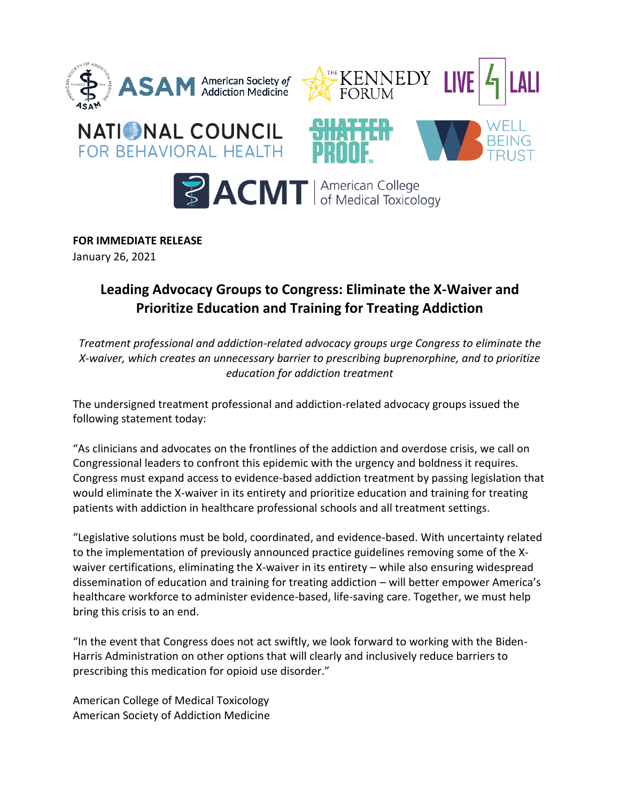

**FOR IMMEDIATE RELEASE** 

January 26, 2021

## **Leading Advocacy Groups to Congress: Eliminate the X-Waiver and Prioritize Education and Training for Treating Addiction**

*Treatment professional and addiction-related advocacy groups urge Congress to eliminate the X-waiver, which creates an unnecessary barrier to prescribing buprenorphine, and to prioritize education for addiction treatment* 

The undersigned treatment professional and addiction-related advocacy groups issued the following statement today:

"As clinicians and advocates on the frontlines of the addiction and overdose crisis, we call on Congressional leaders to confront this epidemic with the urgency and boldness it requires. Congress must expand access to evidence-based addiction treatment by passing legislation that would eliminate the X-waiver in its entirety and prioritize education and training for treating patients with addiction in healthcare professional schools and all treatment settings.

"Legislative solutions must be bold, coordinated, and evidence-based. With uncertainty related to the implementation of previously announced practice guidelines removing some of the Xwaiver certifications, eliminating the X-waiver in its entirety – while also ensuring widespread dissemination of education and training for treating addiction – will better empower America's healthcare workforce to administer evidence-based, life-saving care. Together, we must help bring this crisis to an end.

"In the event that Congress does not act swiftly, we look forward to working with the Biden-Harris Administration on other options that will clearly and inclusively reduce barriers to prescribing this medication for opioid use disorder."

American College of Medical Toxicology American Society of Addiction Medicine